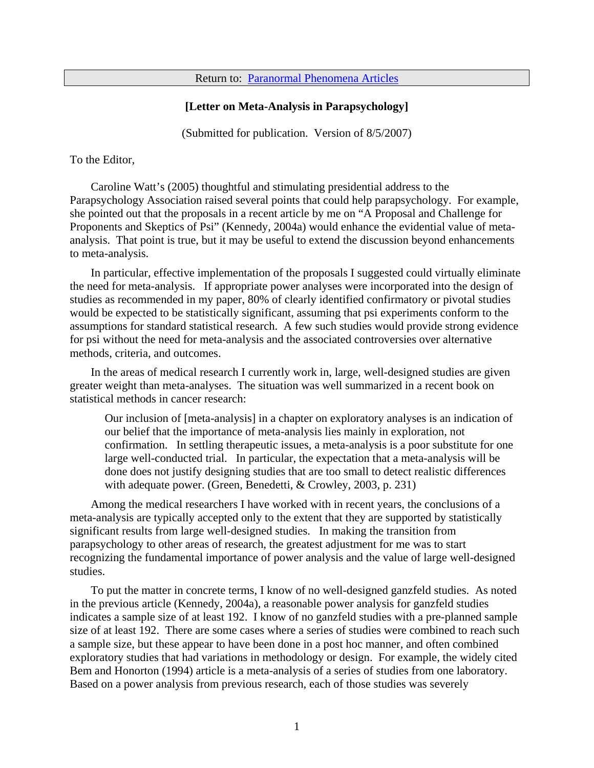Return to: [Paranormal Phenomena Articles](http://jeksite.org/psi.htm#t2)

## **[Letter on Meta-Analysis in Parapsychology]**

(Submitted for publication. Version of 8/5/2007)

To the Editor,

Caroline Watt's (2005) thoughtful and stimulating presidential address to the Parapsychology Association raised several points that could help parapsychology. For example, she pointed out that the proposals in a recent article by me on "A Proposal and Challenge for Proponents and Skeptics of Psi" (Kennedy, 2004a) would enhance the evidential value of metaanalysis. That point is true, but it may be useful to extend the discussion beyond enhancements to meta-analysis.

In particular, effective implementation of the proposals I suggested could virtually eliminate the need for meta-analysis. If appropriate power analyses were incorporated into the design of studies as recommended in my paper, 80% of clearly identified confirmatory or pivotal studies would be expected to be statistically significant, assuming that psi experiments conform to the assumptions for standard statistical research. A few such studies would provide strong evidence for psi without the need for meta-analysis and the associated controversies over alternative methods, criteria, and outcomes.

In the areas of medical research I currently work in, large, well-designed studies are given greater weight than meta-analyses. The situation was well summarized in a recent book on statistical methods in cancer research:

Our inclusion of [meta-analysis] in a chapter on exploratory analyses is an indication of our belief that the importance of meta-analysis lies mainly in exploration, not confirmation. In settling therapeutic issues, a meta-analysis is a poor substitute for one large well-conducted trial. In particular, the expectation that a meta-analysis will be done does not justify designing studies that are too small to detect realistic differences with adequate power. (Green, Benedetti, & Crowley, 2003, p. 231)

Among the medical researchers I have worked with in recent years, the conclusions of a meta-analysis are typically accepted only to the extent that they are supported by statistically significant results from large well-designed studies. In making the transition from parapsychology to other areas of research, the greatest adjustment for me was to start recognizing the fundamental importance of power analysis and the value of large well-designed studies.

To put the matter in concrete terms, I know of no well-designed ganzfeld studies. As noted in the previous article (Kennedy, 2004a), a reasonable power analysis for ganzfeld studies indicates a sample size of at least 192. I know of no ganzfeld studies with a pre-planned sample size of at least 192. There are some cases where a series of studies were combined to reach such a sample size, but these appear to have been done in a post hoc manner, and often combined exploratory studies that had variations in methodology or design. For example, the widely cited Bem and Honorton (1994) article is a meta-analysis of a series of studies from one laboratory. Based on a power analysis from previous research, each of those studies was severely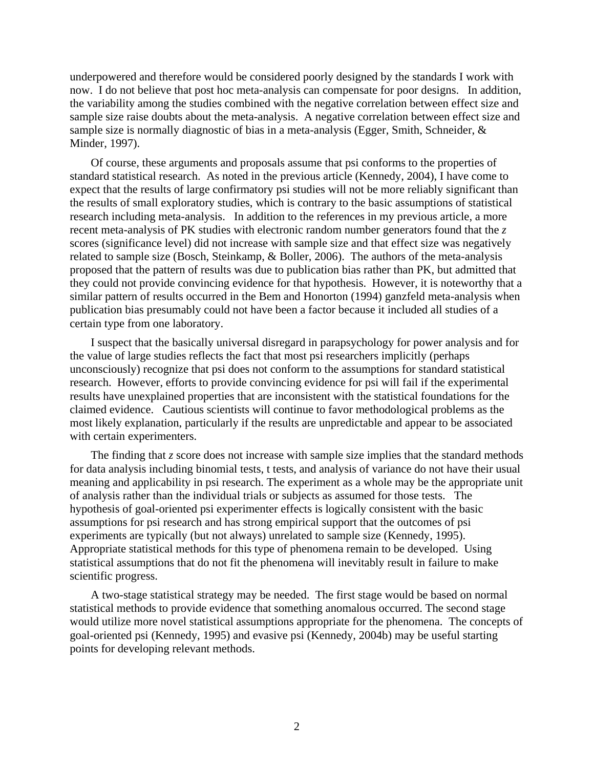underpowered and therefore would be considered poorly designed by the standards I work with now. I do not believe that post hoc meta-analysis can compensate for poor designs. In addition, the variability among the studies combined with the negative correlation between effect size and sample size raise doubts about the meta-analysis. A negative correlation between effect size and sample size is normally diagnostic of bias in a meta-analysis (Egger, Smith, Schneider, & Minder, 1997).

Of course, these arguments and proposals assume that psi conforms to the properties of standard statistical research. As noted in the previous article (Kennedy, 2004), I have come to expect that the results of large confirmatory psi studies will not be more reliably significant than the results of small exploratory studies, which is contrary to the basic assumptions of statistical research including meta-analysis. In addition to the references in my previous article, a more recent meta-analysis of PK studies with electronic random number generators found that the *z* scores (significance level) did not increase with sample size and that effect size was negatively related to sample size (Bosch, Steinkamp, & Boller, 2006). The authors of the meta-analysis proposed that the pattern of results was due to publication bias rather than PK, but admitted that they could not provide convincing evidence for that hypothesis. However, it is noteworthy that a similar pattern of results occurred in the Bem and Honorton (1994) ganzfeld meta-analysis when publication bias presumably could not have been a factor because it included all studies of a certain type from one laboratory.

I suspect that the basically universal disregard in parapsychology for power analysis and for the value of large studies reflects the fact that most psi researchers implicitly (perhaps unconsciously) recognize that psi does not conform to the assumptions for standard statistical research. However, efforts to provide convincing evidence for psi will fail if the experimental results have unexplained properties that are inconsistent with the statistical foundations for the claimed evidence. Cautious scientists will continue to favor methodological problems as the most likely explanation, particularly if the results are unpredictable and appear to be associated with certain experimenters.

The finding that *z* score does not increase with sample size implies that the standard methods for data analysis including binomial tests, t tests, and analysis of variance do not have their usual meaning and applicability in psi research. The experiment as a whole may be the appropriate unit of analysis rather than the individual trials or subjects as assumed for those tests. The hypothesis of goal-oriented psi experimenter effects is logically consistent with the basic assumptions for psi research and has strong empirical support that the outcomes of psi experiments are typically (but not always) unrelated to sample size (Kennedy, 1995). Appropriate statistical methods for this type of phenomena remain to be developed. Using statistical assumptions that do not fit the phenomena will inevitably result in failure to make scientific progress.

A two-stage statistical strategy may be needed. The first stage would be based on normal statistical methods to provide evidence that something anomalous occurred. The second stage would utilize more novel statistical assumptions appropriate for the phenomena. The concepts of goal-oriented psi (Kennedy, 1995) and evasive psi (Kennedy, 2004b) may be useful starting points for developing relevant methods.